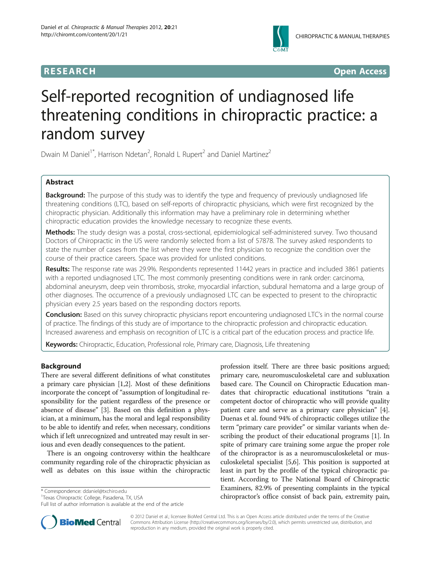**RESEARCH RESEARCH** *CHECK <b>CHECK* 

# Self-reported recognition of undiagnosed life threatening conditions in chiropractic practice: a random survey

Dwain M Daniel<sup>1\*</sup>, Harrison Ndetan<sup>2</sup>, Ronald L Rupert<sup>2</sup> and Daniel Martinez<sup>2</sup>

# Abstract

Background: The purpose of this study was to identify the type and frequency of previously undiagnosed life threatening conditions (LTC), based on self-reports of chiropractic physicians, which were first recognized by the chiropractic physician. Additionally this information may have a preliminary role in determining whether chiropractic education provides the knowledge necessary to recognize these events.

Methods: The study design was a postal, cross-sectional, epidemiological self-administered survey. Two thousand Doctors of Chiropractic in the US were randomly selected from a list of 57878. The survey asked respondents to state the number of cases from the list where they were the first physician to recognize the condition over the course of their practice careers. Space was provided for unlisted conditions.

Results: The response rate was 29.9%. Respondents represented 11442 years in practice and included 3861 patients with a reported undiagnosed LTC. The most commonly presenting conditions were in rank order: carcinoma, abdominal aneurysm, deep vein thrombosis, stroke, myocardial infarction, subdural hematoma and a large group of other diagnoses. The occurrence of a previously undiagnosed LTC can be expected to present to the chiropractic physician every 2.5 years based on the responding doctors reports.

**Conclusion:** Based on this survey chiropractic physicians report encountering undiagnosed LTC's in the normal course of practice. The findings of this study are of importance to the chiropractic profession and chiropractic education. Increased awareness and emphasis on recognition of LTC is a critical part of the education process and practice life.

Keywords: Chiropractic, Education, Professional role, Primary care, Diagnosis, Life threatening

# Background

There are several different definitions of what constitutes a primary care physician [[1,2\]](#page-5-0). Most of these definitions incorporate the concept of "assumption of longitudinal responsibility for the patient regardless of the presence or absence of disease" [[3\]](#page-5-0). Based on this definition a physician, at a minimum, has the moral and legal responsibility to be able to identify and refer, when necessary, conditions which if left unrecognized and untreated may result in serious and even deadly consequences to the patient.

There is an ongoing controversy within the healthcare community regarding role of the chiropractic physician as well as debates on this issue within the chiropractic

<sup>1</sup>Texas Chiropractic College, Pasadena, TX, USA

Full list of author information is available at the end of the article

profession itself. There are three basic positions argued; primary care, neuromusculoskeletal care and subluxation based care. The Council on Chiropractic Education mandates that chiropractic educational institutions "train a competent doctor of chiropractic who will provide quality patient care and serve as a primary care physician" [[4](#page-5-0)]. Duenas et al. found 94% of chiropractic colleges utilize the term "primary care provider" or similar variants when describing the product of their educational programs [[1\]](#page-5-0). In spite of primary care training some argue the proper role of the chiropractor is as a neuromusculoskeletal or musculoskeletal specialist [\[5,6\]](#page-5-0). This position is supported at least in part by the profile of the typical chiropractic patient. According to The National Board of Chiropractic Examiners, 82.9% of presenting complaints in the typical correspondence: [ddaniel@txchiro.edu](mailto:ddaniel@txchiro.edu) **inches consist of back pain, extremity pain,** in the typical incorrespondence: ddaniel@txchiro.edu 11<br><sup>1</sup>Texas Chiropractic College, Pasadena, TX, USA 11 and 11 and 12 and 12 and 12 and



© 2012 Daniel et al.; licensee BioMed Central Ltd. This is an Open Access article distributed under the terms of the Creative Commons Attribution License [\(http://creativecommons.org/licenses/by/2.0\)](http://creativecommons.org/licenses/by/2.0), which permits unrestricted use, distribution, and reproduction in any medium, provided the original work is properly cited.

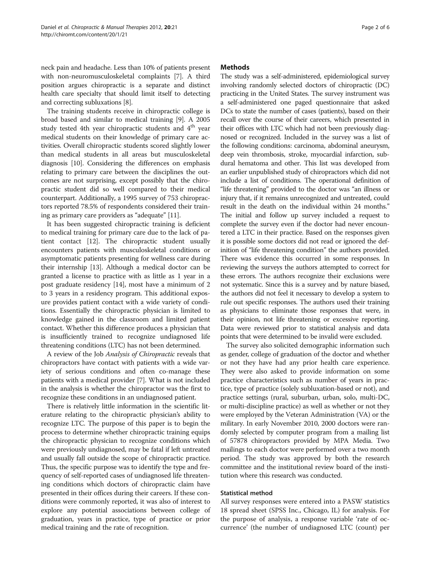neck pain and headache. Less than 10% of patients present with non-neuromusculoskeletal complaints [\[7](#page-5-0)]. A third position argues chiropractic is a separate and distinct health care specialty that should limit itself to detecting and correcting subluxations [\[8](#page-5-0)].

The training students receive in chiropractic college is broad based and similar to medical training [\[9](#page-5-0)]. A 2005 study tested 4th year chiropractic students and  $4<sup>th</sup>$  year medical students on their knowledge of primary care activities. Overall chiropractic students scored slightly lower than medical students in all areas but musculoskeletal diagnosis [\[10\]](#page-5-0). Considering the differences on emphasis relating to primary care between the disciplines the outcomes are not surprising, except possibly that the chiropractic student did so well compared to their medical counterpart. Additionally, a 1995 survey of 753 chiropractors reported 78.5% of respondents considered their training as primary care providers as "adequate" [\[11\]](#page-5-0).

It has been suggested chiropractic training is deficient to medical training for primary care due to the lack of patient contact [\[12\]](#page-5-0). The chiropractic student usually encounters patients with musculoskeletal conditions or asymptomatic patients presenting for wellness care during their internship [[13](#page-5-0)]. Although a medical doctor can be granted a license to practice with as little as 1 year in a post graduate residency [\[14](#page-5-0)], most have a minimum of 2 to 3 years in a residency program. This additional exposure provides patient contact with a wide variety of conditions. Essentially the chiropractic physician is limited to knowledge gained in the classroom and limited patient contact. Whether this difference produces a physician that is insufficiently trained to recognize undiagnosed life threatening conditions (LTC) has not been determined.

A review of the Job Analysis of Chiropractic reveals that chiropractors have contact with patients with a wide variety of serious conditions and often co-manage these patients with a medical provider [\[7](#page-5-0)]. What is not included in the analysis is whether the chiropractor was the first to recognize these conditions in an undiagnosed patient.

There is relatively little information in the scientific literature relating to the chiropractic physician's ability to recognize LTC. The purpose of this paper is to begin the process to determine whether chiropractic training equips the chiropractic physician to recognize conditions which were previously undiagnosed, may be fatal if left untreated and usually fall outside the scope of chiropractic practice. Thus, the specific purpose was to identify the type and frequency of self-reported cases of undiagnosed life threatening conditions which doctors of chiropractic claim have presented in their offices during their careers. If these conditions were commonly reported, it was also of interest to explore any potential associations between college of graduation, years in practice, type of practice or prior medical training and the rate of recognition.

# **Methods**

The study was a self-administered, epidemiological survey involving randomly selected doctors of chiropractic (DC) practicing in the United States. The survey instrument was a self-administered one paged questionnaire that asked DCs to state the number of cases (patients), based on their recall over the course of their careers, which presented in their offices with LTC which had not been previously diagnosed or recognized. Included in the survey was a list of the following conditions: carcinoma, abdominal aneurysm, deep vein thrombosis, stroke, myocardial infarction, subdural hematoma and other. This list was developed from an earlier unpublished study of chiropractors which did not include a list of conditions. The operational definition of "life threatening" provided to the doctor was "an illness or injury that, if it remains unrecognized and untreated, could result in the death on the individual within 24 months." The initial and follow up survey included a request to complete the survey even if the doctor had never encountered a LTC in their practice. Based on the responses given it is possible some doctors did not read or ignored the definition of "life threatening condition" the authors provided. There was evidence this occurred in some responses. In reviewing the surveys the authors attempted to correct for these errors. The authors recognize their exclusions were not systematic. Since this is a survey and by nature biased, the authors did not feel it necessary to develop a system to rule out specific responses. The authors used their training as physicians to eliminate those responses that were, in their opinion, not life threatening or excessive reporting. Data were reviewed prior to statistical analysis and data points that were determined to be invalid were excluded.

The survey also solicited demographic information such as gender, college of graduation of the doctor and whether or not they have had any prior health care experience. They were also asked to provide information on some practice characteristics such as number of years in practice, type of practice (solely subluxation-based or not), and practice settings (rural, suburban, urban, solo, multi-DC, or multi-discipline practice) as well as whether or not they were employed by the Veteran Administration (VA) or the military. In early November 2010, 2000 doctors were randomly selected by computer program from a mailing list of 57878 chiropractors provided by MPA Media. Two mailings to each doctor were performed over a two month period. The study was approved by both the research committee and the institutional review board of the institution where this research was conducted.

#### Statistical method

All survey responses were entered into a PASW statistics 18 spread sheet (SPSS Inc., Chicago, IL) for analysis. For the purpose of analysis, a response variable 'rate of occurrence' (the number of undiagnosed LTC (count) per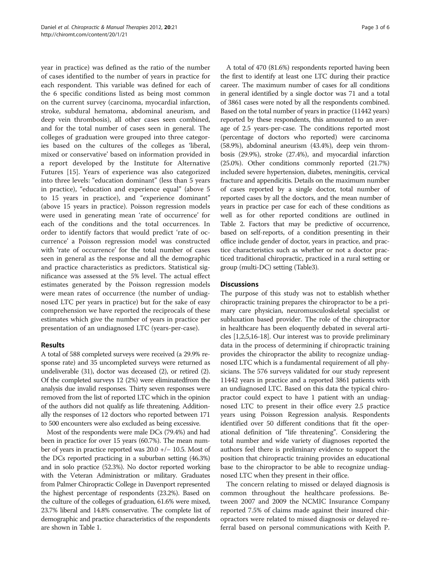year in practice) was defined as the ratio of the number of cases identified to the number of years in practice for each respondent. This variable was defined for each of the 6 specific conditions listed as being most common on the current survey (carcinoma, myocardial infarction, stroke, subdural hematoma, abdominal aneurism, and deep vein thrombosis), all other cases seen combined, and for the total number of cases seen in general. The colleges of graduation were grouped into three categories based on the cultures of the colleges as 'liberal, mixed or conservative' based on information provided in a report developed by the Institute for Alternative Futures [\[15](#page-5-0)]. Years of experience was also categorized into three levels: "education dominant" (less than 5 years in practice), "education and experience equal" (above 5 to 15 years in practice), and "experience dominant" (above 15 years in practice). Poisson regression models were used in generating mean 'rate of occurrence' for each of the conditions and the total occurrences. In order to identify factors that would predict 'rate of occurrence' a Poisson regression model was constructed with 'rate of occurrence' for the total number of cases seen in general as the response and all the demographic and practice characteristics as predictors. Statistical significance was assessed at the 5% level. The actual effect estimates generated by the Poisson regression models were mean rates of occurrence (the number of undiagnosed LTC per years in practice) but for the sake of easy comprehension we have reported the reciprocals of these estimates which give the number of years in practice per presentation of an undiagnosed LTC (years-per-case).

# Results

A total of 588 completed surveys were received (a 29.9% response rate) and 35 uncompleted surveys were returned as undeliverable (31), doctor was deceased (2), or retired (2). Of the completed surveys 12 (2%) were eliminatedfrom the analysis due invalid responses. Thirty seven responses were removed from the list of reported LTC which in the opinion of the authors did not qualify as life threatening. Additionally the responses of 12 doctors who reported between 171 to 500 encounters were also excluded as being excessive.

Most of the respondents were male DCs (79.4%) and had been in practice for over 15 years (60.7%). The mean number of years in practice reported was 20.0 +/− 10.5. Most of the DCs reported practicing in a suburban setting (46.3%) and in solo practice (52.3%). No doctor reported working with the Veteran Administration or military. Graduates from Palmer Chiropractic College in Davenport represented the highest percentage of respondents (23.2%). Based on the culture of the colleges of graduation, 61.6% were mixed, 23.7% liberal and 14.8% conservative. The complete list of demographic and practice characteristics of the respondents are shown in Table [1](#page-3-0).

A total of 470 (81.6%) respondents reported having been the first to identify at least one LTC during their practice career. The maximum number of cases for all conditions in general identified by a single doctor was 71 and a total of 3861 cases were noted by all the respondents combined. Based on the total number of years in practice (11442 years) reported by these respondents, this amounted to an average of 2.5 years-per-case. The conditions reported most (percentage of doctors who reported) were carcinoma (58.9%), abdominal aneurism (43.4%), deep vein thrombosis (29.9%), stroke (27.4%), and myocardial infarction (25.0%). Other conditions commonly reported (21.7%) included severe hypertension, diabetes, meningitis, cervical fracture and appendicitis. Details on the maximum number of cases reported by a single doctor, total number of reported cases by all the doctors, and the mean number of years in practice per case for each of these conditions as well as for other reported conditions are outlined in Table [2](#page-3-0). Factors that may be predictive of occurrence, based on self-reports, of a condition presenting in their office include gender of doctor, years in practice, and practice characteristics such as whether or not a doctor practiced traditional chiropractic, practiced in a rural setting or group (multi-DC) setting (Table[3\)](#page-4-0).

# **Discussions**

The purpose of this study was not to establish whether chiropractic training prepares the chiropractor to be a primary care physician, neuromusculoskeletal specialist or subluxation based provider. The role of the chiropractor in healthcare has been eloquently debated in several articles [[1,2,5,16-18](#page-5-0)]. Our interest was to provide preliminary data in the process of determining if chiropractic training provides the chiropractor the ability to recognize undiagnosed LTC which is a fundamental requirement of all physicians. The 576 surveys validated for our study represent 11442 years in practice and a reported 3861 patients with an undiagnosed LTC. Based on this data the typical chiropractor could expect to have 1 patient with an undiagnosed LTC to present in their office every 2.5 practice years using Poisson Regression analysis. Respondents identified over 50 different conditions that fit the operational definition of "life threatening". Considering the total number and wide variety of diagnoses reported the authors feel there is preliminary evidence to support the position that chiropractic training provides an educational base to the chiropractor to be able to recognize undiagnosed LTC when they present in their office.

The concern relating to missed or delayed diagnosis is common throughout the healthcare professions. Between 2007 and 2009 the NCMIC Insurance Company reported 7.5% of claims made against their insured chiropractors were related to missed diagnosis or delayed referral based on personal communications with Keith P.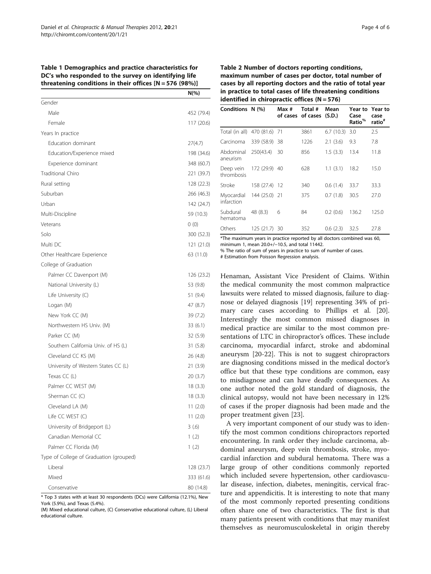<span id="page-3-0"></span>Table 1 Demographics and practice characteristics for DC's who responded to the survey on identifying life threatening conditions in their offices [N = 576 (98%)]

|                                         | N(%)       |
|-----------------------------------------|------------|
| Gender                                  |            |
| Male                                    | 452 (79.4) |
| Female                                  | 117 (20.6) |
| Years In practice                       |            |
| Education dominant                      | 27(4.7)    |
| Education/Experience mixed              | 198 (34.6) |
| Experience dominant                     | 348 (60.7) |
| <b>Traditional Chiro</b>                | 221 (39.7) |
| Rural setting                           | 128 (22.3) |
| Suburban                                | 266 (46.3) |
| Urban                                   | 142 (24.7) |
| Multi-Discipline                        | 59 (10.3)  |
| Veterans                                | 0(0)       |
| Solo                                    | 300 (52.3) |
| Multi DC                                | 121 (21.0) |
| Other Healthcare Experience             | 63 (11.0)  |
| College of Graduation                   |            |
| Palmer CC Davenport (M)                 | 126 (23.2) |
| National University (L)                 | 53 (9.8)   |
| Life University (C)                     | 51 (9.4)   |
| Logan (M)                               | 47 (8.7)   |
| New York CC (M)                         | 39 (7.2)   |
| Northwestern HS Univ. (M)               | 33(6.1)    |
| Parker CC (M)                           | 32 (5.9)   |
| Southern California Univ. of HS (L)     | 31(5.8)    |
| Cleveland CC KS (M)                     | 26 (4.8)   |
| University of Western States CC (L)     | 21(3.9)    |
| Texas CC (L)                            | 20(3.7)    |
| Palmer CC WEST (M)                      | 18(3.3)    |
| Sherman CC (C)                          | 18(3.3)    |
| Cleveland LA (M)                        | 11(2.0)    |
| Life CC WEST (C)                        | 11(2.0)    |
| University of Bridgeport (L)            | 3(6)       |
| Canadian Memorial CC                    | 1(2)       |
| Palmer CC Florida (M)                   | 1(2)       |
| Type of College of Graduation (grouped) |            |
| Liberal                                 | 128 (23.7) |
| Mixed                                   | 333 (61.6) |
| Conservative                            | 80 (14.8)  |

\* Top 3 states with at least 30 respondents (DCs) were California (12.1%), New York (5.9%), and Texas (5.4%).

(M) Mixed educational culture, (C) Conservative educational culture, (L) Liberal educational culture.

Table 2 Number of doctors reporting conditions, maximum number of cases per doctor, total number of cases by all reporting doctors and the ratio of total year in practice to total cases of life threatening conditions identified in chiropractic offices (N = 576)

| Conditions N (%)             |               | Max #<br>of cases | Total #<br>of cases | Mean<br>(S.D.)  | Year to<br>Case<br>Ratio <sup>%</sup> | Year to<br>case<br>ratio <sup>#</sup> |
|------------------------------|---------------|-------------------|---------------------|-----------------|---------------------------------------|---------------------------------------|
| Total (in all) 470 (81.6) 71 |               |                   | 3861                | $6.7(10.3)$ 3.0 |                                       | 2.5                                   |
| Carcinoma                    | 339 (58.9) 38 |                   | 1226                | 2.1(3.6)        | 9.3                                   | 7.8                                   |
| Abdominal<br>aneurism        | 250(43.4)     | 30                | 856                 | 1.5(3.3)        | 13.4                                  | 11.8                                  |
| Deep vein<br>thrombosis      | 172 (29.9)    | 40                | 628                 | 1.1(3.1)        | 18.2                                  | 15.0                                  |
| Stroke                       | 158 (27.4)    | -12               | 340                 | 0.6(1.4)        | 33.7                                  | 33.3                                  |
| Myocardial<br>infarction     | 144 (25.0) 21 |                   | 375                 | 0.7(1.8)        | 30.5                                  | 27.0                                  |
| Subdural<br>hematoma         | 48 (8.3)      | 6                 | 84                  | 0.2(0.6)        | 136.2                                 | 125.0                                 |
| Others                       | 125 (21.7) 30 |                   | 352                 | 0.6(2.3)        | 32.5                                  | 27.8                                  |

\*The maximum years in practice reported by all doctors combined was 60, minimum 1, mean 20.0+/−10.5, and total 11442.

% The ratio of sum of years in practice to sum of number of cases.

# Estimation from Poisson Regression analysis.

Henaman, Assistant Vice President of Claims. Within the medical community the most common malpractice lawsuits were related to missed diagnosis, failure to diagnose or delayed diagnosis [\[19](#page-5-0)] representing 34% of primary care cases according to Phillips et al. [\[20](#page-5-0)]. Interestingly the most common missed diagnoses in medical practice are similar to the most common presentations of LTC in chiropractor's offices. These include carcinoma, myocardial infarct, stroke and abdominal aneurysm [[20-22](#page-5-0)]. This is not to suggest chiropractors are diagnosing conditions missed in the medical doctor's office but that these type conditions are common, easy to misdiagnose and can have deadly consequences. As one author noted the gold standard of diagnosis, the clinical autopsy, would not have been necessary in 12% of cases if the proper diagnosis had been made and the proper treatment given [[23](#page-5-0)].

A very important component of our study was to identify the most common conditions chiropractors reported encountering. In rank order they include carcinoma, abdominal aneurysm, deep vein thrombosis, stroke, myocardial infarction and subdural hematoma. There was a large group of other conditions commonly reported which included severe hypertension, other cardiovascular disease, infection, diabetes, meningitis, cervical fracture and appendicitis. It is interesting to note that many of the most commonly reported presenting conditions often share one of two characteristics. The first is that many patients present with conditions that may manifest themselves as neuromusculoskeletal in origin thereby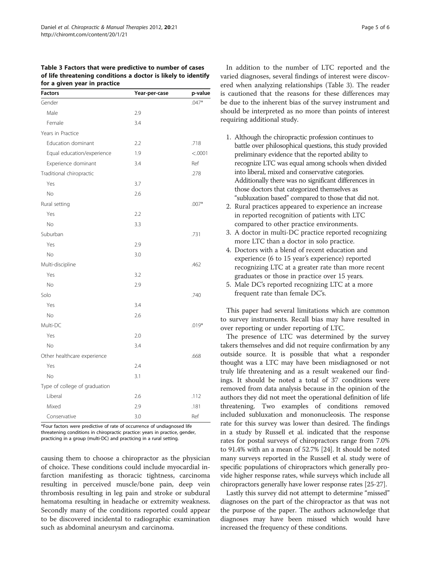<span id="page-4-0"></span>

| Table 3 Factors that were predictive to number of cases       |
|---------------------------------------------------------------|
| of life threatening conditions a doctor is likely to identify |
| for a given year in practice                                  |

| <b>Factors</b>                | Year-per-case | p-value |
|-------------------------------|---------------|---------|
| Gender                        |               | $.047*$ |
| Male                          | 2.9           |         |
| Female                        | 3.4           |         |
| Years in Practice             |               |         |
| Education dominant            | 2.2           | .718    |
| Equal education/experience    | 1.9           | < .0001 |
| Experience dominant           | 3.4           | Ref     |
| Traditional chiropractic      |               | .278    |
| Yes                           | 3.7           |         |
| No                            | 2.6           |         |
| Rural setting                 |               | $.007*$ |
| Yes                           | 2.2           |         |
| No                            | 3.3           |         |
| Suburban                      |               | .731    |
| Yes                           | 2.9           |         |
| No                            | 3.0           |         |
| Multi-discipline              |               | .462    |
| Yes                           | 3.2           |         |
| <b>No</b>                     | 2.9           |         |
| Solo                          |               | .740    |
| Yes                           | 3.4           |         |
| No                            | 2.6           |         |
| Multi-DC                      |               | $.019*$ |
| Yes                           | 2.0           |         |
| No                            | 3.4           |         |
| Other healthcare experience   |               | .668    |
| Yes                           | 2.4           |         |
| <b>No</b>                     | 3.1           |         |
| Type of college of graduation |               |         |
| Liberal                       | 2.6           | .112    |
| Mixed                         | 2.9           | .181    |
| Conservative                  | 3.0           | Ref     |

\*Four factors were predictive of rate of occurrence of undiagnosed life threatening conditions in chiropractic practice: years in practice, gender, practicing in a group (multi-DC) and practicing in a rural setting.

causing them to choose a chiropractor as the physician of choice. These conditions could include myocardial infarction manifesting as thoracic tightness, carcinoma resulting in perceived muscle/bone pain, deep vein thrombosis resulting in leg pain and stroke or subdural hematoma resulting in headache or extremity weakness. Secondly many of the conditions reported could appear to be discovered incidental to radiographic examination such as abdominal aneurysm and carcinoma.

In addition to the number of LTC reported and the varied diagnoses, several findings of interest were discovered when analyzing relationships (Table 3). The reader is cautioned that the reasons for these differences may be due to the inherent bias of the survey instrument and should be interpreted as no more than points of interest requiring additional study.

- 1. Although the chiropractic profession continues to battle over philosophical questions, this study provided preliminary evidence that the reported ability to recognize LTC was equal among schools when divided into liberal, mixed and conservative categories. Additionally there was no significant differences in those doctors that categorized themselves as "subluxation based" compared to those that did not.
- 2. Rural practices appeared to experience an increase in reported recognition of patients with LTC compared to other practice environments.
- 3. A doctor in multi-DC practice reported recognizing more LTC than a doctor in solo practice.
- 4. Doctors with a blend of recent education and experience (6 to 15 year's experience) reported recognizing LTC at a greater rate than more recent graduates or those in practice over 15 years.
- 5. Male DC's reported recognizing LTC at a more frequent rate than female DC's.

This paper had several limitations which are common to survey instruments. Recall bias may have resulted in over reporting or under reporting of LTC.

The presence of LTC was determined by the survey takers themselves and did not require confirmation by any outside source. It is possible that what a responder thought was a LTC may have been misdiagnosed or not truly life threatening and as a result weakened our findings. It should be noted a total of 37 conditions were removed from data analysis because in the opinion of the authors they did not meet the operational definition of life threatening. Two examples of conditions removed included subluxation and mononucleosis. The response rate for this survey was lower than desired. The findings in a study by Russell et al. indicated that the response rates for postal surveys of chiropractors range from 7.0% to 91.4% with an a mean of 52.7% [[24](#page-5-0)]. It should be noted many surveys reported in the Russell et al. study were of specific populations of chiropractors which generally provide higher response rates, while surveys which include all chiropractors generally have lower response rates [\[25-27\]](#page-5-0).

Lastly this survey did not attempt to determine "missed" diagnoses on the part of the chiropractor as that was not the purpose of the paper. The authors acknowledge that diagnoses may have been missed which would have increased the frequency of these conditions.